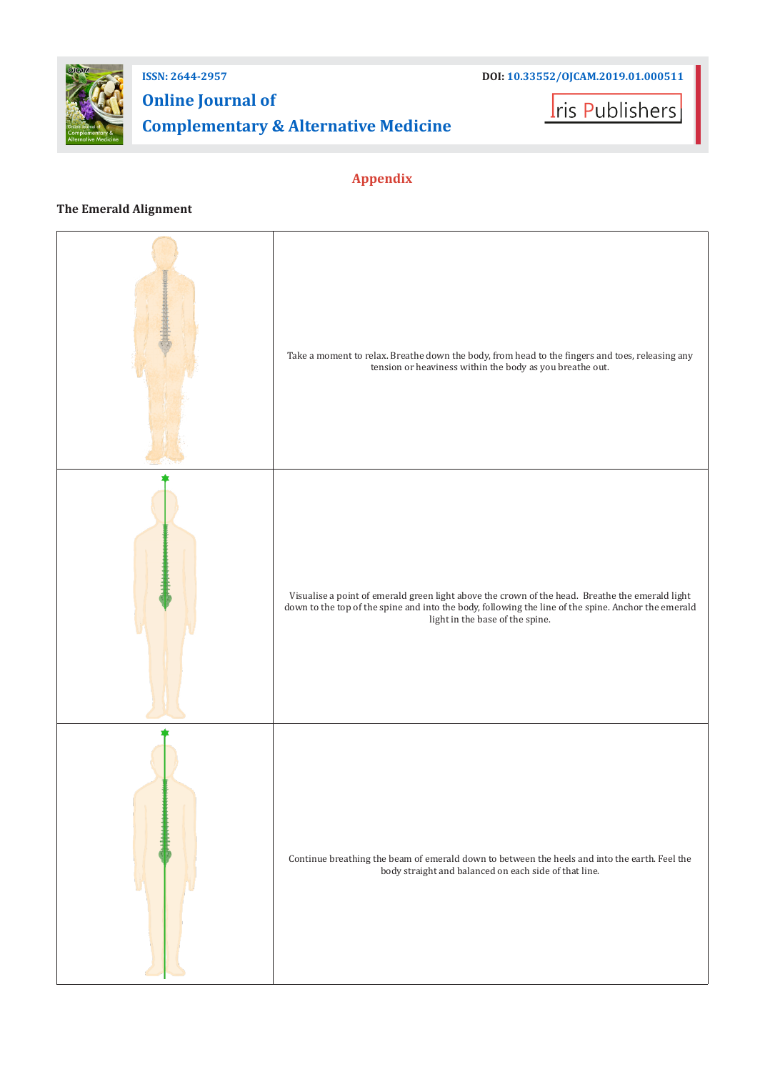

## **Online Journal of Complementary & Alternative Medicine**

**I**ris Publishers

## **Appendix**

## **The Emerald Alignment**